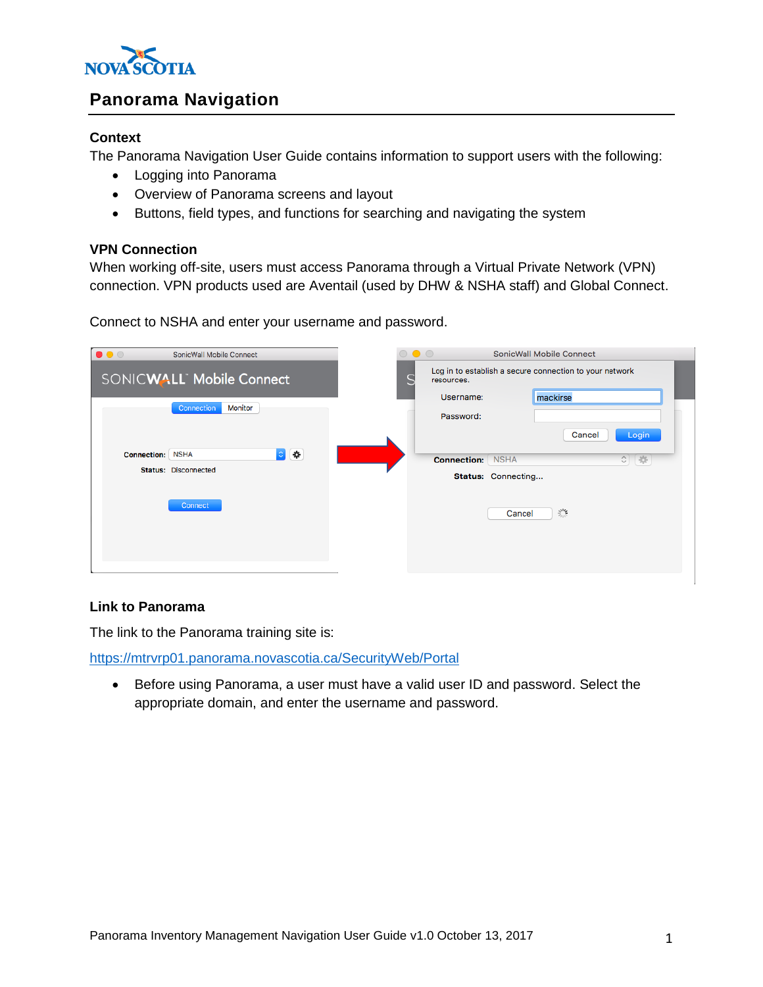

# **Panorama Navigation**

### **Context**

The Panorama Navigation User Guide contains information to support users with the following:

- Logging into Panorama
- Overview of Panorama screens and layout
- Buttons, field types, and functions for searching and navigating the system

## **VPN Connection**

When working off-site, users must access Panorama through a Virtual Private Network (VPN) connection. VPN products used are Aventail (used by DHW & NSHA staff) and Global Connect.

| $\bullet\bullet\circ$    | SonicWall Mobile Connect    | $\circ\bullet\circ$ |                         |        | SonicWall Mobile Connect                                |  |
|--------------------------|-----------------------------|---------------------|-------------------------|--------|---------------------------------------------------------|--|
| SONICWALL Mobile Connect |                             |                     | resources.              |        | Log in to establish a secure connection to your network |  |
|                          |                             |                     | Username:               |        | mackirse                                                |  |
|                          | Monitor<br>Connection       |                     | Password:               |        |                                                         |  |
|                          |                             |                     |                         |        | Login<br>Cancel                                         |  |
| <b>Connection: NSHA</b>  | $\circ$ $\bullet$           |                     | <b>Connection: NSHA</b> |        | $\circ \quad \circ$                                     |  |
|                          | <b>Status: Disconnected</b> |                     | Status: Connecting      |        |                                                         |  |
|                          | Connect                     |                     |                         | Cancel | 樂                                                       |  |

Connect to NSHA and enter your username and password.

### **Link to Panorama**

The link to the Panorama training site is:

<https://mtrvrp01.panorama.novascotia.ca/SecurityWeb/Portal>

 Before using Panorama, a user must have a valid user ID and password. Select the appropriate domain, and enter the username and password.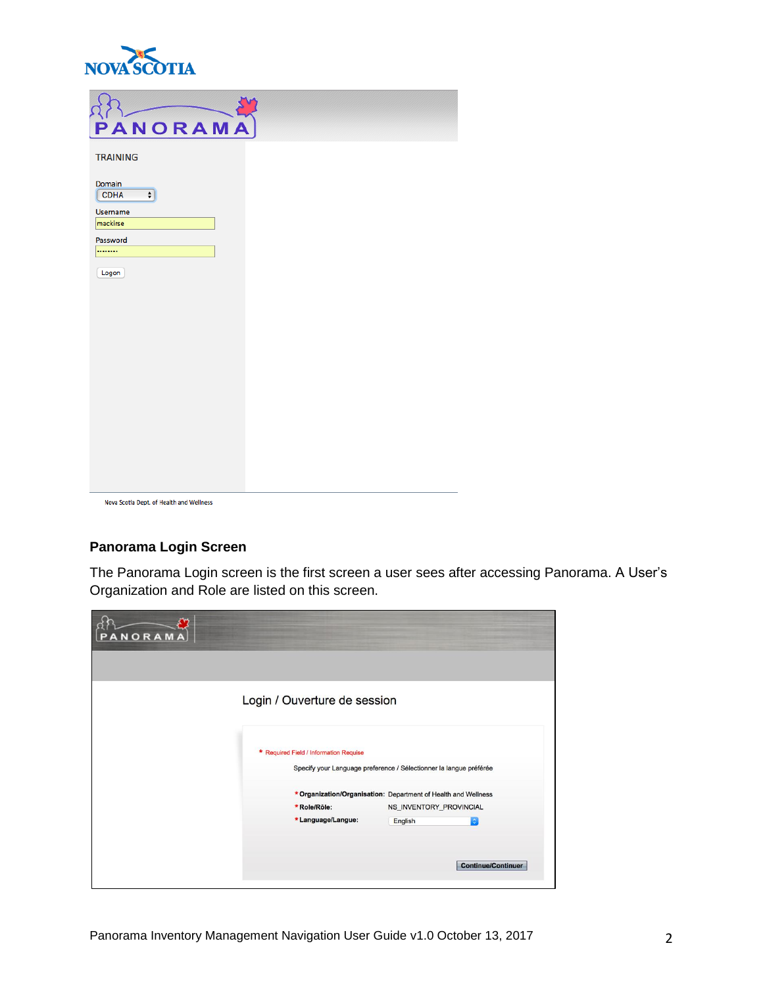

| PANORAMA                                 |  |
|------------------------------------------|--|
| <b>TRAINING</b>                          |  |
| Domain<br><b>CDHA</b><br>$\div$          |  |
| <b>Username</b><br>mackirse              |  |
| Password                                 |  |
|                                          |  |
| Logon                                    |  |
|                                          |  |
|                                          |  |
|                                          |  |
|                                          |  |
|                                          |  |
|                                          |  |
|                                          |  |
|                                          |  |
|                                          |  |
| Nova Scotia Dept. of Health and Wellness |  |

# **Panorama Login Screen**

The Panorama Login screen is the first screen a user sees after accessing Panorama. A User's Organization and Role are listed on this screen.

| <b>ANORAMA</b><br>P |                                        |                                                                    |  |
|---------------------|----------------------------------------|--------------------------------------------------------------------|--|
|                     | Login / Ouverture de session           |                                                                    |  |
|                     |                                        |                                                                    |  |
|                     | * Required Field / Information Requise |                                                                    |  |
|                     |                                        | Specify your Language preference / Sélectionner la langue préférée |  |
|                     |                                        | * Organization/Organisation: Department of Health and Wellness     |  |
|                     | *Role/Rôle:                            | NS_INVENTORY_PROVINCIAL                                            |  |
|                     | *Language/Langue:                      | English<br>۰                                                       |  |
|                     |                                        |                                                                    |  |
|                     |                                        |                                                                    |  |
|                     |                                        | <b>Continue/Continuer</b>                                          |  |
|                     |                                        |                                                                    |  |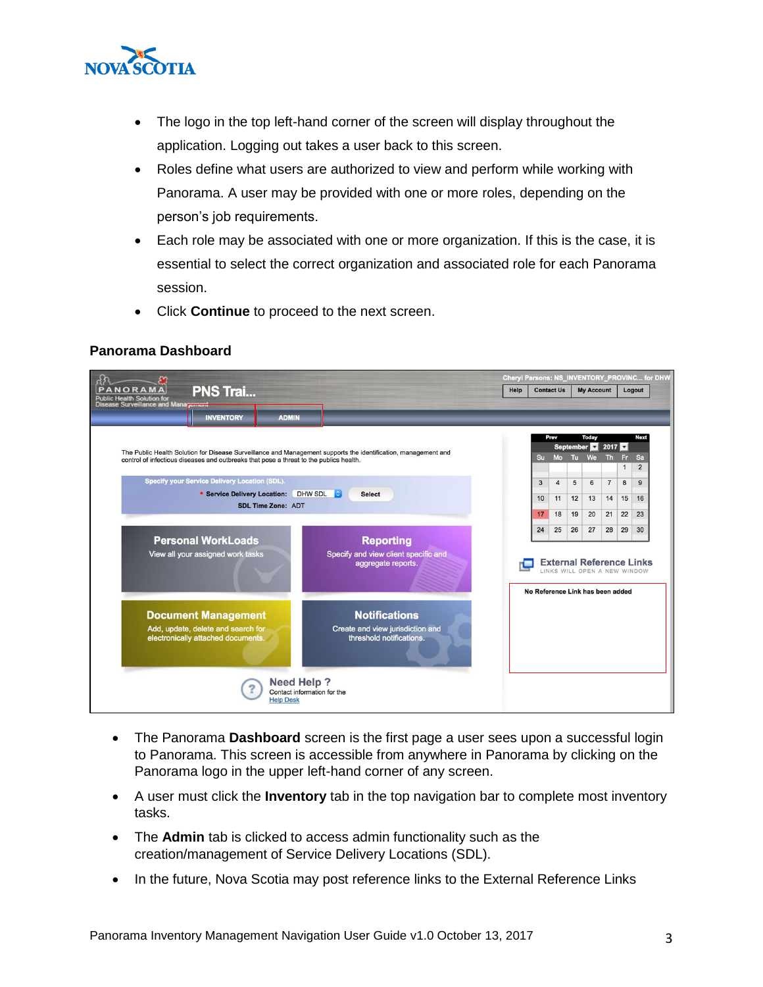

- The logo in the top left-hand corner of the screen will display throughout the application. Logging out takes a user back to this screen.
- Roles define what users are authorized to view and perform while working with Panorama. A user may be provided with one or more roles, depending on the person's job requirements.
- Each role may be associated with one or more organization. If this is the case, it is essential to select the correct organization and associated role for each Panorama session.
- Click **Continue** to proceed to the next screen.

#### **Panorama Dashboard**



- The Panorama **Dashboard** screen is the first page a user sees upon a successful login to Panorama. This screen is accessible from anywhere in Panorama by clicking on the Panorama logo in the upper left-hand corner of any screen.
- A user must click the **Inventory** tab in the top navigation bar to complete most inventory tasks.
- The **Admin** tab is clicked to access admin functionality such as the creation/management of Service Delivery Locations (SDL).
- In the future, Nova Scotia may post reference links to the External Reference Links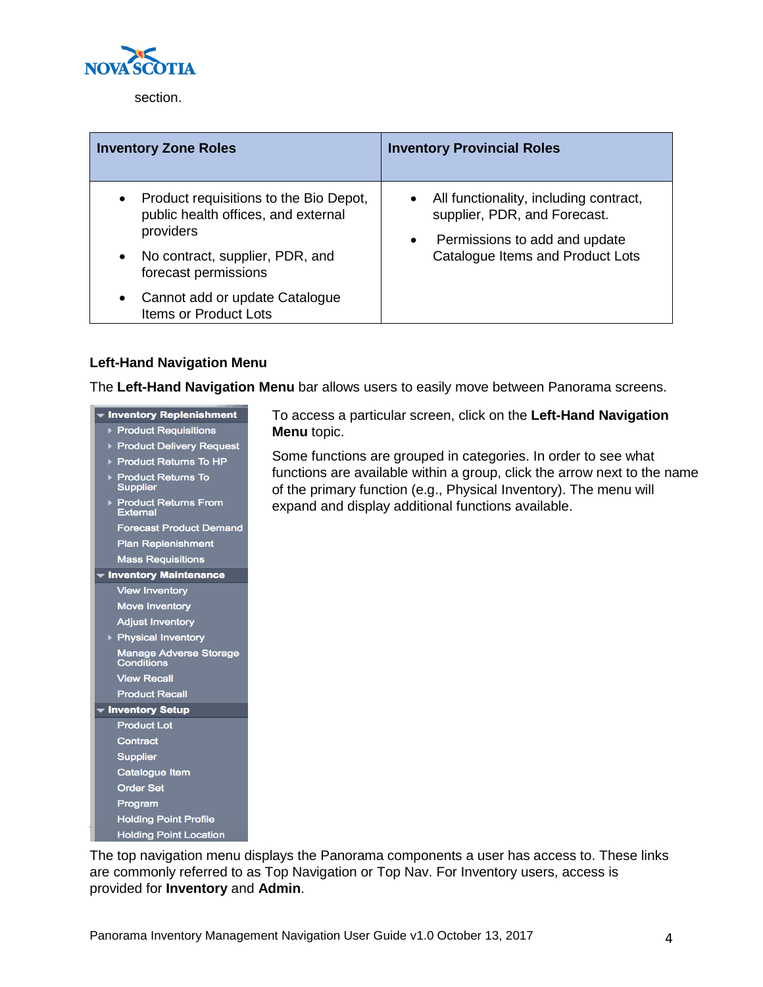

section.

| <b>Inventory Zone Roles</b>                                                                | <b>Inventory Provincial Roles</b>                                                                                      |  |  |  |
|--------------------------------------------------------------------------------------------|------------------------------------------------------------------------------------------------------------------------|--|--|--|
| Product requisitions to the Bio Depot,<br>public health offices, and external<br>providers | • All functionality, including contract,<br>supplier, PDR, and Forecast.<br>Permissions to add and update<br>$\bullet$ |  |  |  |
| No contract, supplier, PDR, and<br>forecast permissions                                    | Catalogue Items and Product Lots                                                                                       |  |  |  |
| Cannot add or update Catalogue<br>Items or Product Lots                                    |                                                                                                                        |  |  |  |

## **Left-Hand Navigation Menu**

The **Left-Hand Navigation Menu** bar allows users to easily move between Panorama screens.

## • Inventory Replenishment

- ▶ Product Requisitions
- ▶ Product Delivery Request
- ▶ Product Returns To HP
- ▶ Product Returns To<br>Supplier
- ▶ Product Returns From<br>External

**Forecast Product Demand Plan Replenishment** 

- **Mass Requisitions**
- Inventory Maintenance **View Inventory**

**Move Inventory** 

**Adjust Inventory** ▶ Physical Inventory

- Manage Adverse Storage<br>Conditions **View Recall**
- **Product Recall** Inventory Setup
- **Product Lot** Contract Supplier Catalogue Item **Order Set** Program **Holding Point Profile**

**Holding Point Location** 

To access a particular screen, click on the **Left-Hand Navigation Menu** topic.

Some functions are grouped in categories. In order to see what functions are available within a group, click the arrow next to the name of the primary function (e.g., Physical Inventory). The menu will expand and display additional functions available.

The top navigation menu displays the Panorama components a user has access to. These links are commonly referred to as Top Navigation or Top Nav. For Inventory users, access is provided for **Inventory** and **Admin**.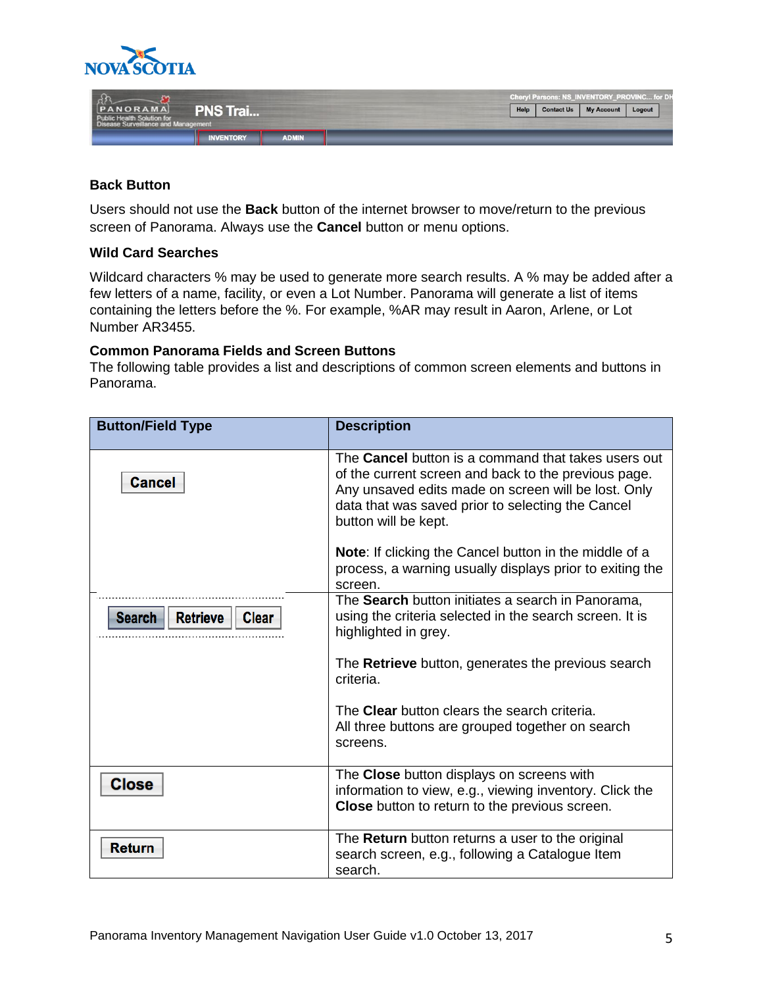

|                                          |                  |              | Cheryl Parsons: NS_INVENTORY_PROVINC for DH |                   |        |  |
|------------------------------------------|------------------|--------------|---------------------------------------------|-------------------|--------|--|
| [PANORAMA]<br>Public Health Solution for | <b>PNS Trai</b>  |              | <b>Contact Us</b><br>Help                   | <b>My Account</b> | Logout |  |
| Disease Surveillance and Management      |                  |              |                                             |                   |        |  |
|                                          | <b>INVENTORY</b> | <b>ADMIN</b> |                                             |                   |        |  |

### **Back Button**

Users should not use the **Back** button of the internet browser to move/return to the previous screen of Panorama. Always use the **Cancel** button or menu options.

#### **Wild Card Searches**

Wildcard characters % may be used to generate more search results. A % may be added after a few letters of a name, facility, or even a Lot Number. Panorama will generate a list of items containing the letters before the %. For example, %AR may result in Aaron, Arlene, or Lot Number AR3455.

#### **Common Panorama Fields and Screen Buttons**

The following table provides a list and descriptions of common screen elements and buttons in Panorama.

| <b>Button/Field Type</b>                         | <b>Description</b>                                                                                                                                                                                                                                     |
|--------------------------------------------------|--------------------------------------------------------------------------------------------------------------------------------------------------------------------------------------------------------------------------------------------------------|
|                                                  |                                                                                                                                                                                                                                                        |
| <b>Cancel</b>                                    | The <b>Cancel</b> button is a command that takes users out<br>of the current screen and back to the previous page.<br>Any unsaved edits made on screen will be lost. Only<br>data that was saved prior to selecting the Cancel<br>button will be kept. |
|                                                  | <b>Note:</b> If clicking the Cancel button in the middle of a<br>process, a warning usually displays prior to exiting the<br>screen.                                                                                                                   |
| <b>Retrieve</b><br><b>Search</b><br><b>Clear</b> | The Search button initiates a search in Panorama,<br>using the criteria selected in the search screen. It is<br>highlighted in grey.                                                                                                                   |
|                                                  | The Retrieve button, generates the previous search<br>criteria.                                                                                                                                                                                        |
|                                                  | The Clear button clears the search criteria.<br>All three buttons are grouped together on search<br>screens.                                                                                                                                           |
| <b>Close</b>                                     | The Close button displays on screens with<br>information to view, e.g., viewing inventory. Click the<br>Close button to return to the previous screen.                                                                                                 |
| <b>Return</b>                                    | The <b>Return</b> button returns a user to the original<br>search screen, e.g., following a Catalogue Item<br>search.                                                                                                                                  |